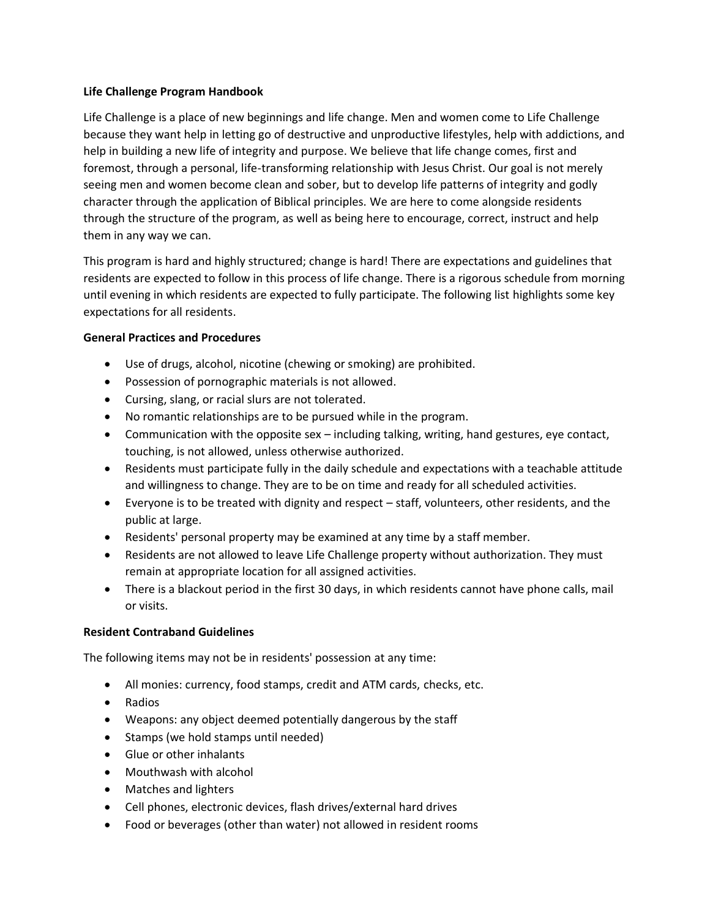### **Life Challenge Program Handbook**

Life Challenge is a place of new beginnings and life change. Men and women come to Life Challenge because they want help in letting go of destructive and unproductive lifestyles, help with addictions, and help in building a new life of integrity and purpose. We believe that life change comes, first and foremost, through a personal, life-transforming relationship with Jesus Christ. Our goal is not merely seeing men and women become clean and sober, but to develop life patterns of integrity and godly character through the application of Biblical principles. We are here to come alongside residents through the structure of the program, as well as being here to encourage, correct, instruct and help them in any way we can.

This program is hard and highly structured; change is hard! There are expectations and guidelines that residents are expected to follow in this process of life change. There is a rigorous schedule from morning until evening in which residents are expected to fully participate. The following list highlights some key expectations for all residents.

# **General Practices and Procedures**

- Use of drugs, alcohol, nicotine (chewing or smoking) are prohibited.
- Possession of pornographic materials is not allowed.
- Cursing, slang, or racial slurs are not tolerated.
- No romantic relationships are to be pursued while in the program.
- Communication with the opposite sex including talking, writing, hand gestures, eye contact, touching, is not allowed, unless otherwise authorized.
- Residents must participate fully in the daily schedule and expectations with a teachable attitude and willingness to change. They are to be on time and ready for all scheduled activities.
- Everyone is to be treated with dignity and respect staff, volunteers, other residents, and the public at large.
- Residents' personal property may be examined at any time by a staff member.
- Residents are not allowed to leave Life Challenge property without authorization. They must remain at appropriate location for all assigned activities.
- There is a blackout period in the first 30 days, in which residents cannot have phone calls, mail or visits.

### **Resident Contraband Guidelines**

The following items may not be in residents' possession at any time:

- All monies: currency, food stamps, credit and ATM cards, checks, etc.
- Radios
- Weapons: any object deemed potentially dangerous by the staff
- Stamps (we hold stamps until needed)
- Glue or other inhalants
- Mouthwash with alcohol
- Matches and lighters
- Cell phones, electronic devices, flash drives/external hard drives
- Food or beverages (other than water) not allowed in resident rooms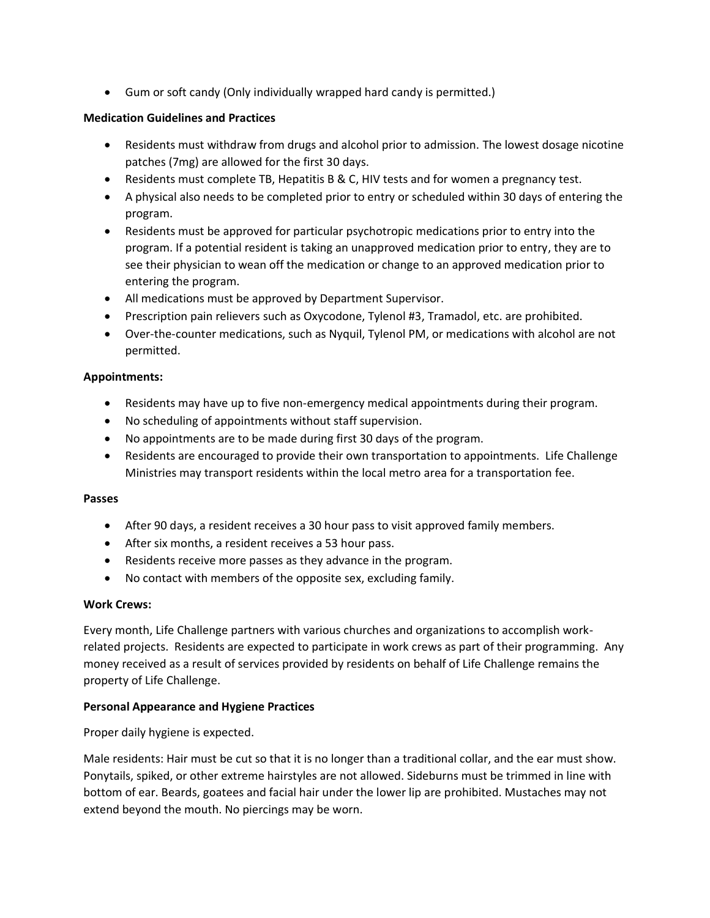• Gum or soft candy (Only individually wrapped hard candy is permitted.)

## **Medication Guidelines and Practices**

- Residents must withdraw from drugs and alcohol prior to admission. The lowest dosage nicotine patches (7mg) are allowed for the first 30 days.
- Residents must complete TB, Hepatitis B & C, HIV tests and for women a pregnancy test.
- A physical also needs to be completed prior to entry or scheduled within 30 days of entering the program.
- Residents must be approved for particular psychotropic medications prior to entry into the program. If a potential resident is taking an unapproved medication prior to entry, they are to see their physician to wean off the medication or change to an approved medication prior to entering the program.
- All medications must be approved by Department Supervisor.
- Prescription pain relievers such as Oxycodone, Tylenol #3, Tramadol, etc. are prohibited.
- Over-the-counter medications, such as Nyquil, Tylenol PM, or medications with alcohol are not permitted.

### **Appointments:**

- Residents may have up to five non-emergency medical appointments during their program.
- No scheduling of appointments without staff supervision.
- No appointments are to be made during first 30 days of the program.
- Residents are encouraged to provide their own transportation to appointments. Life Challenge Ministries may transport residents within the local metro area for a transportation fee.

### **Passes**

- After 90 days, a resident receives a 30 hour pass to visit approved family members.
- After six months, a resident receives a 53 hour pass.
- Residents receive more passes as they advance in the program.
- No contact with members of the opposite sex, excluding family.

### **Work Crews:**

Every month, Life Challenge partners with various churches and organizations to accomplish workrelated projects. Residents are expected to participate in work crews as part of their programming. Any money received as a result of services provided by residents on behalf of Life Challenge remains the property of Life Challenge.

### **Personal Appearance and Hygiene Practices**

Proper daily hygiene is expected.

Male residents: Hair must be cut so that it is no longer than a traditional collar, and the ear must show. Ponytails, spiked, or other extreme hairstyles are not allowed. Sideburns must be trimmed in line with bottom of ear. Beards, goatees and facial hair under the lower lip are prohibited. Mustaches may not extend beyond the mouth. No piercings may be worn.